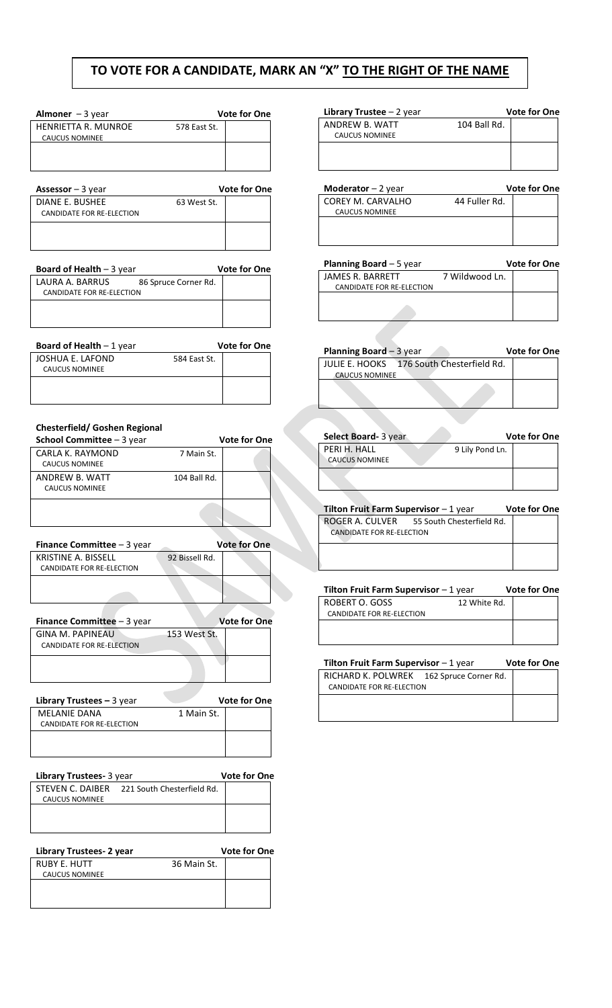## **TO VOTE FOR A CANDIDATE, MARK AN "X" TO THE RIGHT OF THE NAME**

| Almoner $-3$ year     |              | <b>Vote for One</b> |
|-----------------------|--------------|---------------------|
| HENRIETTA R. MUNROE   | 578 East St. |                     |
| <b>CAUCUS NOMINEE</b> |              |                     |
|                       |              |                     |
|                       |              |                     |
|                       |              |                     |

|             | <b>Vote for One</b> |
|-------------|---------------------|
| 63 West St. |                     |
|             |                     |
|             |                     |
|             |                     |
|             |                     |

| <b>Board of Health - 3 year</b> |                      | <b>Vote for One</b> |
|---------------------------------|----------------------|---------------------|
| LAURA A. BARRUS                 | 86 Spruce Corner Rd. |                     |
| CANDIDATE FOR RE-ELECTION       |                      |                     |
|                                 |                      |                     |
|                                 |                      |                     |
|                                 |                      |                     |

| <b>Board of Health - 1 year</b> |              | <b>Vote for One</b> |
|---------------------------------|--------------|---------------------|
| JOSHUA E. LAFOND                | 584 East St. |                     |
| CAUCUS NOMINEE                  |              |                     |
|                                 |              |                     |
|                                 |              |                     |

## **Chesterfield/ Goshen Regional**

| <b>School Committee</b> $-3$ year |              | <b>Vote for One</b> |
|-----------------------------------|--------------|---------------------|
| CARLA K. RAYMOND                  | 7 Main St.   |                     |
| CAUCUS NOMINEE                    |              |                     |
| ANDREW B. WATT                    | 104 Ball Rd. |                     |
| <b>CAUCUS NOMINEE</b>             |              |                     |
|                                   |              |                     |

| <b>Finance Committee</b> $-$ 3 year              |                | <b>Vote for One</b> |  |
|--------------------------------------------------|----------------|---------------------|--|
| KRISTINE A. BISSELL<br>CANDIDATE FOR RE-ELECTION | 92 Bissell Rd. |                     |  |
|                                                  |                |                     |  |
|                                                  |                |                     |  |

| <b>Finance Committee</b> $-3$ year            |              | <b>Vote for One</b> |
|-----------------------------------------------|--------------|---------------------|
| GINA M. PAPINEAU<br>CANDIDATE FOR RE-ELECTION | 153 West St. |                     |
|                                               |              |                     |

| <b>Library Trustees – 3 year</b> |            | <b>Vote for One</b> |
|----------------------------------|------------|---------------------|
| MFI ANIF DANA                    | 1 Main St. |                     |
| CANDIDATE FOR RE-ELECTION        |            |                     |
|                                  |            |                     |
|                                  |            |                     |

| Library Trustees- 3 year |                                             | <b>Vote for One</b> |
|--------------------------|---------------------------------------------|---------------------|
|                          | STEVEN C. DAIBER 221 South Chesterfield Rd. |                     |
| <b>CAUCUS NOMINEE</b>    |                                             |                     |
|                          |                                             |                     |
|                          |                                             |                     |
|                          |                                             |                     |

|             | <b>Vote for One</b> |
|-------------|---------------------|
| 36 Main St. |                     |
|             |                     |
|             |                     |
|             |                     |
|             |                     |

| <b>Library Trustee</b> $-2$ year |              | <b>Vote for One</b>                   |
|----------------------------------|--------------|---------------------------------------|
| ANDREW B. WATT                   | 104 Ball Rd. |                                       |
| <b>CAUCUS NOMINEE</b>            |              |                                       |
|                                  |              |                                       |
|                                  |              |                                       |
|                                  |              |                                       |
| $M$ odorotor $Q$                 |              | $U_{\alpha}$ ta far $\Omega_{\alpha}$ |

| <b>Moderator</b> $-2$ year |               | <b>Vote for One</b> |
|----------------------------|---------------|---------------------|
| COREY M. CARVALHO          | 44 Fuller Rd. |                     |
| <b>CAUCUS NOMINEE</b>      |               |                     |
|                            |               |                     |
|                            |               |                     |
|                            |               |                     |

| <b>Planning Board</b> $-5$ year |                | <b>Vote for One</b> |
|---------------------------------|----------------|---------------------|
| JAMES R. BARRETT                | 7 Wildwood Ln. |                     |
| CANDIDATE FOR RE-ELECTION       |                |                     |
|                                 |                |                     |

 $\overline{\phantom{a}}$ 

 $\overline{\phantom{a}}$ 

| <b>Planning Board</b> $-$ 3 year |                                           | <b>Vote for One</b> |
|----------------------------------|-------------------------------------------|---------------------|
|                                  | JULIE E. HOOKS 176 South Chesterfield Rd. |                     |
| <b>CAUCUS NOMINEE</b>            |                                           |                     |
|                                  |                                           |                     |

| Select Board- 3 year  |                 | <b>Vote for One</b> |
|-----------------------|-----------------|---------------------|
| PERI H. HALL          | 9 Lily Pond Ln. |                     |
| <b>CAUCUS NOMINEE</b> |                 |                     |
|                       |                 |                     |

| <b>Tilton Fruit Farm Supervisor</b> $-1$ year |                           | <b>Vote for One</b> |
|-----------------------------------------------|---------------------------|---------------------|
| ROGER A. CULVER                               | 55 South Chesterfield Rd. |                     |
| CANDIDATE FOR RE-ELECTION                     |                           |                     |

| <b>Tilton Fruit Farm Supervisor</b> $-1$ year |              | <b>Vote for One</b> |
|-----------------------------------------------|--------------|---------------------|
| ROBERT O. GOSS                                | 12 White Rd. |                     |
| CANDIDATE FOR RE-ELECTION                     |              |                     |
|                                               |              |                     |
|                                               |              |                     |

| <b>Tilton Fruit Farm Supervisor</b> $-1$ year |  | <b>Vote for One</b> |
|-----------------------------------------------|--|---------------------|
| RICHARD K. POLWREK 162 Spruce Corner Rd.      |  |                     |
| CANDIDATE FOR RE-ELECTION                     |  |                     |
|                                               |  |                     |
|                                               |  |                     |

H